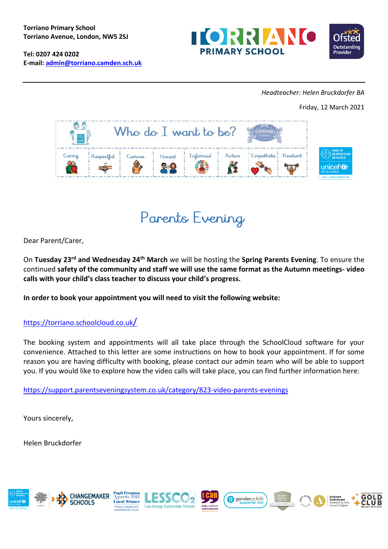**Tel: 0207 424 0202 E-mail: [admin@torriano.camden.sch.uk](mailto:admin@torriano.camden.sch.uk)**





### *Headteacher: Helen Bruckdorfer BA*

Friday, 12 March 2021





Dear Parent/Carer,

On **Tuesday 23rd and Wednesday 24th March** we will be hosting the **Spring Parents Evening**. To ensure the continued **safety of the community and staff we will use the same format as the Autumn meetings- video calls with your child's class teacher to discuss your child's progress.**

**In order to book your appointment you will need to visit the following website:**

## https://torriano.schoolcloud.co.uk/

The booking system and appointments will all take place through the SchoolCloud software for your convenience. Attached to this letter are some instructions on how to book your appointment. If for some reason you are having difficulty with booking, please contact our admin team who will be able to support you. If you would like to explore how the video calls will take place, you can find further information here:

<https://support.parentseveningsystem.co.uk/category/823-video-parents-evenings>

Yours sincerely,

Helen Bruckdorfer

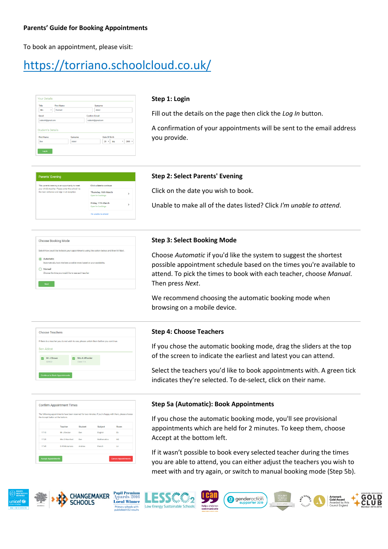To book an appointment, please visit:

# https://torriano.schoolcloud.co.uk/

| Title                    | <b>First Name</b> | Surname              |
|--------------------------|-------------------|----------------------|
| Mrs<br>٠                 | Rachael           | Abbot                |
| Email                    |                   | <b>Confirm Email</b> |
| rabbot4@gmail.com        |                   | rabbot4@gmail.com    |
| <b>Student's Details</b> |                   |                      |
| <b>First Name</b>        | Surname           | <b>Date Of Birth</b> |

#### **Step 1: Login**

Fill out the details on the page then click the *Log In* button.

A confirmation of your appointments will be sent to the email address you provide.

# rents' Evening Click a date to co Thursday, 16th Mar Friday, 17th March

#### **Step 2: Select Parents' Evening**

Click on the date you wish to book.

Unable to make all of the dates listed? Click *I'm unable to attend*.

| Choose Booking Mode                                                                        |
|--------------------------------------------------------------------------------------------|
| Select how you'd like to book your appointments using the option below, and then hit Next. |
| Automatic                                                                                  |
| Automatically book the best possible times based on your availability                      |
| Manual                                                                                     |
| Choose the time you would like to see each teacher                                         |

#### **Step 3: Select Booking Mode**

Choose *Automatic* if you'd like the system to suggest the shortest possible appointment schedule based on the times you're available to attend. To pick the times to book with each teacher, choose *Manual*. Then press *Next*.

We recommend choosing the automatic booking mode when browsing on a mobile device.



#### **Step 4: Choose Teachers**

If you chose the automatic booking mode, drag the sliders at the top of the screen to indicate the earliest and latest you can attend.

Select the teachers you'd like to book appointments with. A green tick indicates they're selected. To de-select, click on their name.

|       | The following appointments have been reserved for two minutes. If you're happy with them, please choose<br>the Accept button at the bottom. |         |             |      |
|-------|---------------------------------------------------------------------------------------------------------------------------------------------|---------|-------------|------|
|       | Teacher                                                                                                                                     | Student | Subject     | Room |
| 17:10 | Mr J Sinclair                                                                                                                               | Ben     | English     | E6   |
| 17:25 | Mrs D.Mumford                                                                                                                               | Ban     | Mathematics | M2   |
| 17:45 | Dr R Mcnamara                                                                                                                               | Andrew  | French      | L4   |

#### **Step 5a (Automatic): Book Appointments**

If you chose the automatic booking mode, you'll see provisional appointments which are held for 2 minutes. To keep them, choose Accept at the bottom left.

If it wasn't possible to book every selected teacher during the times you are able to attend, you can either adjust the teachers you wish to meet with and try again, or switch to manual booking mode (Step 5b).